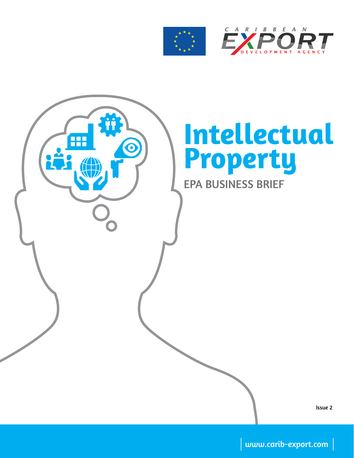

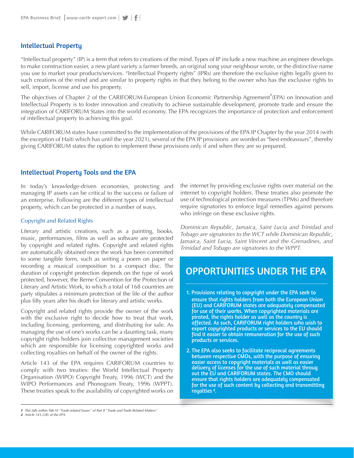### Intellectual Property

"Intellectual property" (IP) is a term that refers to creations of the mind. Types of IP include a new machine an engineer develops to make construction easier, a new plant variety a farmer breeds, an original song your neighbour wrote, or the distinctive name you use to market your products/services. "Intellectual Property rights" (IPRs) are therefore the exclusive rights legally given to such creations of the mind and are similar to property rights in that they belong to the owner who has the exclusive rights to sell, import, license and use his property.

The objectives of Chapter 2 of the CARIFORUM-European Union Economic Partnership Agreement<sup>7</sup> (EPA) on Innovation and Intellectual Property is to foster innovation and creativity to achieve sustainable development, promote trade and ensure the integration of CARIFORUM States into the world economy. The EPA recognizes the importance of protection and enforcement of intellectual property to achieving this goal.

While CARIFORUM states have committed to the implementation of the provisions of the EPA IP Chapter by the year 2014 (with the exception of Haiti which has until the year 2021), several of the EPA IP provisions are worded as "best endeavours", thereby giving CARIFORUM states the option to implement these provisions only if and when they are so prepared.

### Intellectual Property Tools and the EPA

In today's knowledge-driven economies, protecting and managing IP assets can be critical to the success or failure of an enterprise. Following are the different types of intellectual property, which can be protected in a number of ways.

### Copyright and Related Rights

Literary and artistic creations, such as a painting, books, music, performances, films as well as software are protected by copyright and related rights. Copyright and related rights are automatically obtained once the work has been committed to some tangible form, such as writing a poem on paper or recording a musical composition to a compact disc. The duration of copyright protection depends on the type of work protected, however, the Berne Convention for the Protection of Literary and Artistic Work, to which a total of 168 countries are party stipulates a minimum protection of the life of the author plus fifty years after his death for literary and artistic works.

Copyright and related rights provide the owner of the work with the exclusive right to decide how to treat that work, including licensing, performing, and distributing for sale. As managing the use of one's works can be a daunting task, many copyright rights holders join collective management societies which are responsible for licensing copyrighted works and collecting royalties on behalf of the owner of the rights.

Article 143 of the EPA requires CARIFORUM countries to comply with two treaties: the World Intellectual Property Organisation (WIPO) Copyright Treaty, 1996 (WCT) and the WIPO Performances and Phonogram Treaty, 1996 (WPPT). These treaties speak to the availability of copyrighted works on the internet by providing exclusive rights over material on the internet to copyright holders. These treaties also promote the use of technological protection measures (TPMs) and therefore require signatories to enforce legal remedies against persons who infringe on these exclusive rights.

*Dominican Republic, Jamaica, Saint Lucia and Trinidad and Tobago are signatories to the WCT while Dominican Republic, Jamaica, Saint Lucia, Saint Vincent and the Grenadines, and Trinidad and Tobago are signatories to the WPPT.*

# OPPORTUNITIES UNDER THE EPA

- 1. Provisions relating to copyright under the EPA seek to ensure that rights holders from both the European Union (EU) and CARIFORUM states are adequately compensated for use of their works. When copyrighted materials are pirated, the rights holder as well as the country is affected. As such, CARIFORUM right holders who wish to export copyrighted products or services to the EU should find it easier to obtain remuneration for the use of such products or services.
- 2. The EPA also seeks to facilitate reciprocal agreements between respective CMOs, with the purpose of ensuring easier access to copyright materials as well as easier delivery of licenses for the use of such material throug out the EU and CARIFORUM states. The CMO should ensure that rights holders are adequately compensated for the use of such content by collecting and transmitting royalties *<sup>2</sup>* .

*<sup>1</sup> This falls within Title VI "Trade-related Issues" of Part II "Trade and Trade-Related Matters"*

*<sup>2</sup> Article 143.2(B) of the EPA.*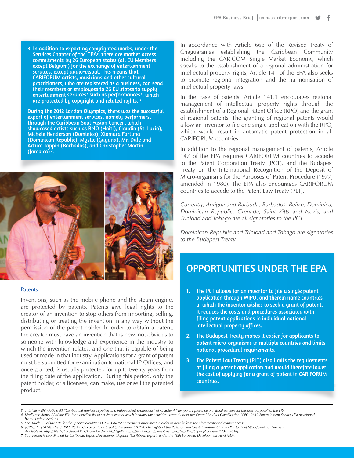3. In addition to exporting copyrighted works, under the Services Chapter of the EPA<sup>3</sup>, there are market access commitments by 26 European states (all EU Members except Belgium) for the exchange of entertainment services, except audio-visual. This means that CARIFORUM artists, musicians and other cultural practitioners, who are registered as a business, can send their members or employees to 26 EU states to supply entertainment services<sup>4</sup> such as performances<sup>5</sup>, which are protected by copyright and related rights. *<sup>6</sup>*

During the 2012 London Olympics, there was the successful export of entertainment services, namely performers, through the Caribbean Soul Fusion Concert which showcased artists such as BelO (Haiti), Claudia (St. Lucia), Michele Henderson (Dominica), Xiomara Fortuna (Dominican Republic), Mystic (Guyana), Mr. Dale and Arturo Tappin (Barbados), and Christopher Martin (Jamaica) *<sup>7</sup>*



#### Patents

Inventions, such as the mobile phone and the steam engine, are protected by patents. Patents give legal rights to the creator of an invention to stop others from importing, selling, distributing or treating the invention in any way without the permission of the patent holder. In order to obtain a patent, the creator must have an invention that is new, not obvious to someone with knowledge and experience in the industry to which the invention relates, and one that is capable of being used or made in that industry. Applications for a grant of patent must be submitted for examination to national IP Offices, and once granted, is usually protected for up to twenty years from the filing date of the application. During this period, only the patent holder, or a licensee, can make, use or sell the patented product.

In accordance with Article 66b of the Revised Treaty of Chaguaramas establishing the Caribbean Community including the CARICOM Single Market Economy, which speaks to the establishment of a regional administration for intellectual property rights, Article 141 of the EPA also seeks to promote regional integration and the harmonisation of intellectual property laws.

In the case of patents, Article 141.1 encourages regional management of intellectual property rights through the establishment of a Regional Patent Office (RPO) and the grant of regional patents. The granting of regional patents would allow an inventor to file one single application with the RPO, which would result in automatic patent protection in all CARIFORUM countries.

In addition to the regional management of patents, Article 147 of the EPA requires CARIFORUM countries to accede to the Patent Corporation Treaty (PCT), and the Budapest Treaty on the International Recognition of the Deposit of Micro-organisms for the Purposes of Patent Procedure (1977, amended in 1980). The EPA also encourages CARIFORUM countries to accede to the Patent Law Treaty (PLT).

*Currently, Antigua and Barbuda, Barbados, Belize, Dominica, Dominican Republic, Grenada, Saint Kitts and Nevis, and Trinidad and Tobago are all signatories to the PCT.* 

Dominican Republic and Trinidad and Tobago are signatories *to the Budapest Treaty.*

# OPPORTUNITIES UNDER THE EPA

 $\mathcal{I}_\text{L}$  . The PCT allows for an inventor to file a single patent of  $\mathcal{I}_\text{L}$ 

- 1. The PCT allows for an inventor to file a single patent  $\hbox{a}$  pplication through WIPO, and therein name countries in which the inventor wishes to seek a grant of patent.  $\blacksquare$ It reduces the costs and procedures associated with  $\mathbf \Gamma$  filing patent applications in individual national  $\overline{\text{intellectual property}}$  offices. The  $\overline{\text{intelectual}}$
- 2. The Budapest Treaty makes it easier for applicants to  $\epsilon$  patent micro-organisms in multiple countries and limits national procedural requirements. of filing a patent application and would therefore lower lower lower lower lower lower lower lower lower lower
- 3. The Patent Law Treaty (PLT) also limits the requirements  $\log$  of filing a patent application and would therefore lower the cost of applying for a grant of patent in CARIFORUM to the Budapest Treaty and the Budapest Treaty.

Currently, Antigua and Barbuda, Barbados, Belize, Dominica,

Trinidad and Tobago are all signatories to the PCT. The

<sup>3</sup> This falls within Article 83 "Contractual services suppliers and independent professions" of Chapter 4 "Temporary presence of natural persons for business purpose" of the EPA.

<sup>4</sup> Kindly see Annex IV of the EPA for a detailed list of services sectors which includes the activities covered under the Central Product Classification (CPC) 9619 Entertainment Services list developed<br>by the United Nations *by the United Nations.* 

See Article 83 of the EPA for the specific conditions CARIFORUM entertainers must meet in order to benefit from the aforementioned market access.

<sup>(</sup>CRN), C. (2014). The CARIFORUM-EC Economic Partnership Agreement (EPA): Highlights of the Rules on Services & investment in the EPA. [online] http://cafein-online.net/ *Available at: http://file:///C:/Users/DELL/Downloads/Brief\_Highlights\_re\_Services\_and\_Investment\_in\_the\_EPA\_IU.pdf [Accessed 7 Oct. 2014].*

<sup>7</sup> Soul Fusion is coordinated by Caribbean Export Development Agency (Caribbean Export) under the 10th European Development Fund (EDF).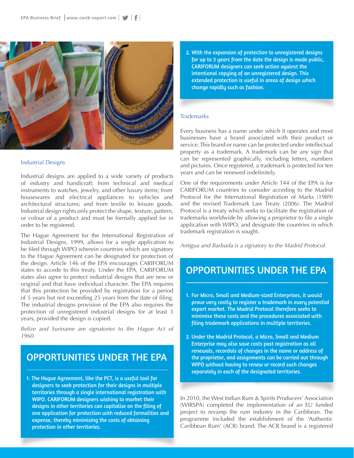

#### Industrial Designs

Industrial designs are applied to a wide variety of products of industry and handicraft: from technical and medical instruments to watches, jewelry, and other luxury items; from housewares and electrical appliances to vehicles and architectural structures; and from textile to leisure goods. Industrial design rights only protect the shape, texture, pattern, or colour of a product and must be formally applied for in order to be registered.

The Hague Agreement for the International Registration of Industrial Designs, 1999, allows for a single application to be filed through WIPO wherein countries which are signatory to the Hague Agreement can be designated for protection of the design. Article 146 of the EPA encourages CARIFORUM states to accede to this treaty. Under the EPA, CARIFORUM states also agree to protect industrial designs that are new or original and that have individual character. The EPA requires that this protection be provided by registration for a period of 5 years but not exceeding 25 years from the date of filing. The industrial designs provision of the EPA also requires the protection of unregistered industrial designs for at least 3 years, provided the design is copied.

*Belize and Suriname are signatories to the Hague Act of 1960.*

# OPPORTUNITIES UNDER THE EPA

1. The Hague Agreement, like the PCT, is a useful tool for designers to seek protection for their designs in multiple territories through a single international registration with WIPO. CARIFORUM designers wishing to market their designs in other territories can capitalise on the filing of one application for protection with reduced formalities and expense, thereby minimising the costs of obtaining protection in other territories.

2. With the expansion of protection to unregistered designs for up to 3 years from the date the design is made public, CARIFORUM designers can seek action against the intentional copying of an unregistered design. This extended protection is useful in areas of design which change rapidly such as fashion.

#### **Trademarks**

Every business has a name under which it operates and most businesses have a brand associated with their product or service. This brand or name can be protected under intellectual property as a trademark. A trademark can be any sign that can be represented graphically, including letters, numbers and pictures. Once registered, a trademark is protected for ten years and can be renewed indefinitely.

One of the requirements under Article 144 of the EPA is for CARIFORUM countries to consider acceding to the Madrid Protocol for the International Registration of Marks (1989) and the revised Trademark Law Treaty (2006). The Madrid Protocol is a treaty which seeks to facilitate the registration of trademarks worldwide by allowing a proprietor to file a single application with WIPO, and designate the countries in which trademark registration is sought.

*Antigua and Barbuda is a signatory to the Madrid Protocol.*

# OPPORTUNITIES UNDER THE EPA

- 1. For Micro, Small and Medium-sized Enterprises, it would prove very costly to register a trademark in every potential export market. The Madrid Protocol therefore seeks to minimise these costs and the procedures associated with filing trademark applications in multiple territories.
- 2. Under the Madrid Protocol, a Micro, Small and Medium Enterprise may also save costs post registration as all renewals, recordals of changes in the name or address of the proprietor, and assignments can be carried out through WIPO without having to renew or record such changes separately in each of the designated territories.

In 2010, the West Indian Rum & Spirits Producers' Association (WIRSPA) completed the implementation of an EU funded project to revamp the rum industry in the Caribbean. The programme included the establishment of the 'Authentic Caribbean Rum' (ACR) brand. The ACR brand is a registered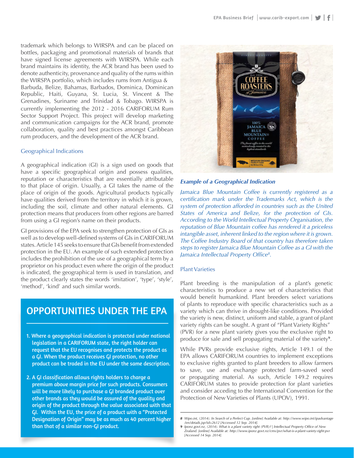trademark which belongs to WIRSPA and can be placed on bottles, packaging and promotional materials of brands that have signed license agreements with WIRSPA. While each brand maintains its identity, the ACR brand has been used to denote authenticity, provenance and quality of the rums within the WIRSPA portfolio, which includes rums from Antigua & Barbuda, Belize, Bahamas, Barbados, Dominica, Dominican Republic, Haiti, Guyana, St. Lucia, St. Vincent & The Grenadines, Suriname and Trinidad & Tobago. WIRSPA is currently implementing the 2012 - 2016 CARIFORUM Rum Sector Support Project. This project will develop marketing and communication campaigns for the ACR brand, promote collaboration, quality and best practices amongst Caribbean rum producers, and the development of the ACR brand.

### Geographical Indications

A geographical indication (GI) is a sign used on goods that have a specific geographical origin and possess qualities, reputation or characteristics that are essentially attributable to that place of origin. Usually, a GI takes the name of the place of origin of the goods. Agricultural products typically have qualities derived from the territory in which it is grown, including the soil, climate and other natural elements. GI protection means that producers from other regions are barred from using a GI region's name on their products.

GI provisions of the EPA seek to strengthen protection of GIs as well as to develop well-defined systems of GIs in CARIFORUM states. Article 145 seeks to ensure that GIs benefit from extended protection in the EU. An example of such extended protection includes the prohibition of the use of a geographical term by a proprietor on his product even where the origin of the product is indicated, the geographical term is used in translation, and the product clearly states the words 'imitation', 'type', 'style', 'method', 'kind' and such similar words.

# OPPORTUNITIES UNDER THE EPA

- 1. Where a geographical indication is protected under national legislation in a CARIFORUM state, the right holder can request that the EU recognises and protects the product as a GI. When the product receives GI protection, no other product can be traded in the EU under the same description.
- 2. A GI classification allows rights holders to charge a premium above margin price for such products. Consumers will be more likely to purchase a GI branded product over other brands as they would be assured of the quality and origin of the product through the value associated with that GI. Within the EU, the price of a product with a "Protected Designation of Origin" may be as much as 40 percent higher than that of a similar non-GI product.



### *Example of a Geographical Indication*

*Jamaica Blue Mountain Coffee is currently registered as a certification mark under the Trademarks Act, which is the system of protection afforded in countries such as the United States of America and Belize, for the protection of GIs. According to the World Intellectual Property Organisation, the reputation of Blue Mountain coffee has rendered it a priceless intangible asset, inherent linked to the region where it is grown. The Coffee Industry Board of that country has therefore taken steps to register Jamaica Blue Mountain Coffee as a GI with the Jamaica Intellectual Property Office8.*

#### Plant Varieties

Plant breeding is the manipulation of a plant's genetic characteristics to produce a new set of characteristics that would benefit humankind. Plant breeders select variations of plants to reproduce with specific characteristics such as a variety which can thrive in drought-like conditions. Provided the variety is new, distinct, uniform and stable, a grant of plant variety rights can be sought. A grant of "Plant Variety Rights" (PVR) for a new plant variety gives you the exclusive right to produce for sale and sell propagating material of the variety**9**.

While PVRs provide exclusive rights, Article 149.1 of the EPA allows CARIFORUM countries to implement exceptions to exclusive rights granted to plant breeders to allow farmers to save, use and exchange protected farm-saved seed or propagating material. As such, Article 149.2 requires CARIFORUM states to provide protection for plant varieties and consider acceding to the International Convention for the Protection of New Varieties of Plants (UPOV), 1991.

*<sup>8</sup> Wipo.int, (2014). In Search of a Perfect Cup. [online] Available at: http://www.wipo.int/ipadvantage /en/details.jsp?id=2612 [Accessed 12 Sep. 2014].*

<sup>9</sup> Iponz.govt.nz, (2014). What is a plant variety right (PVR)? | Intellectual Property Office of New<br>Zealand. [online] Available at: http://www.iponz.govt.nz/cms/pvr/what-is-a-plant-variety-right-pvr *[Accessed 14 Sep. 2014].*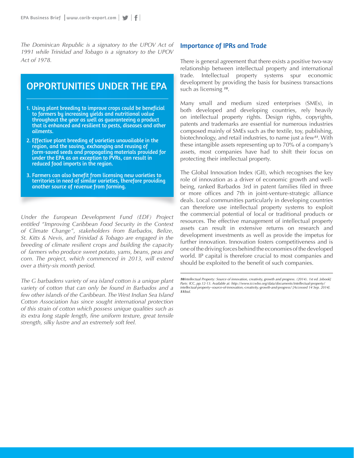*The Dominican Republic is a signatory to the UPOV Act of 1991 while Trinidad and Tobago is a signatory to the UPOV Act of 1978.*

# OPPORTUNITIES UNDER THE EPA

- 1. Using plant breeding to improve crops could be beneficial to farmers by increasing yields and nutritional value throughout the year as well as guaranteeing a product that is enhanced and resilient to pests, diseases and other ailments.
- 2. Effective plant breeding of varieties unavailable in the region, and the saving, exchanging and reusing of farm-saved seeds and propagating materials provided for under the EPA as an exception to PVRs, can result in reduced food imports in the region.
- 3. Farmers can also benefit from licensing new varieties to territories in need of similar varieties, therefore providing another source of revenue from farming.

*Under the European Development Fund (EDF) Project entitled "Improving Caribbean Food Security in the Context of Climate Change", stakeholders from Barbados, Belize, St. Kitts & Nevis, and Trinidad & Tobago are engaged in the breeding of climate resilient crops and building the capacity of farmers who produce sweet potato, yams, beans, peas and corn. The project, which commenced in 2013, will extend over a thirty-six month period.*

*The G barbadens variety of sea island cotton is a unique plant variety of cotton that can only be found in Barbados and a few other islands of the Caribbean. The West Indian Sea Island Cotton Association has since sought international protection of this strain of cotton which possess unique qualities such as its extra long staple length, fine uniform texture, great tensile strength, silky lustre and an extremely soft feel.*

### Importance of IPRs and Trade

There is general agreement that there exists a positive two-way relationship between intellectual property and international trade. Intellectual property systems spur economic development by providing the basis for business transactions such as licensing *10*.

Many small and medium sized enterprises (SMEs), in both developed and developing countries, rely heavily on intellectual property rights. Design rights, copyrights, patents and trademarks are essential for numerous industries composed mainly of SMEs such as the textile, toy, publishing, biotechnology, and retail industries, to name just a few*11*. With these intangible assets representing up to 70% of a company's assets, most companies have had to shift their focus on protecting their intellectual property.

The Global Innovation Index (GII), which recognises the key role of innovation as a driver of economic growth and wellbeing, ranked Barbados 3rd in patent families filed in three or more offices and 7th in joint-venture-strategic alliance deals. Local communities particularly in developing countries can therefore use intellectual property systems to exploit the commercial potential of local or traditional products or resources. The effective management of intellectual property assets can result in extensive returns on research and development investments as well as provide the impetus for further innovation. Innovation fosters competitiveness and is one of the driving forces behind the economies of the developed world. IP capital is therefore crucial to most companies and should be exploited to the benefit of such companies.

*<sup>10</sup>Intellectual Property: Source of innovation, creativity, growth and progress. (2014). 1st ed. [ebook] Paris: ICC, pp.12-13. Available at: http://www.iccwbo.org/data/documents/intellectual-property/ intellectual-property--source-of-innovation,-creativity,-growth-and-progress/ [Accessed 14 Sep. 2014]. 11Ibid.*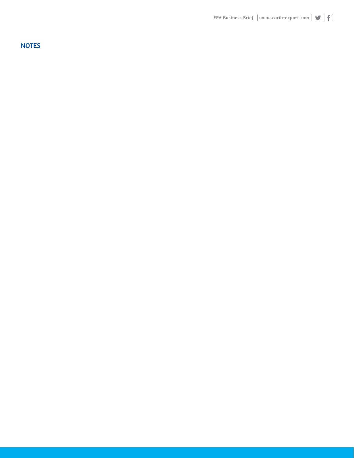**NOTES**